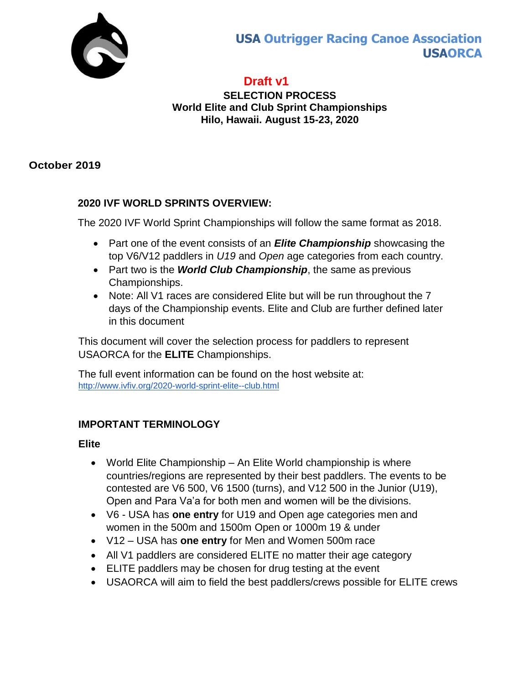

# **USA Outrigger Racing Canoe Association USAORCA**

# **Draft v1**

#### **SELECTION PROCESS World Elite and Club Sprint Championships Hilo, Hawaii. August 15-23, 2020**

### **October 2019**

## **2020 IVF WORLD SPRINTS OVERVIEW:**

The 2020 IVF World Sprint Championships will follow the same format as 2018.

- Part one of the event consists of an *Elite Championship* showcasing the top V6/V12 paddlers in *U19* and *Open* age categories from each country.
- Part two is the **World Club Championship**, the same as previous Championships.
- Note: All V1 races are considered Elite but will be run throughout the 7 days of the Championship events. Elite and Club are further defined later in this document

This document will cover the selection process for paddlers to represent USAORCA for the **ELITE** Championships.

[The f](https://www.tahitivaa2018.org/)ull event information can be found on the host website at: <http://www.ivfiv.org/2020-world-sprint-elite--club.html>

## **IMPORTANT TERMINOLOGY**

#### **Elite**

- World Elite Championship An Elite World championship is where countries/regions are represented by their best paddlers. The events to be contested are V6 500, V6 1500 (turns), and V12 500 in the Junior (U19), Open and Para Va'a for both men and women will be the divisions.
- V6 USA has **one entry** for U19 and Open age categories men and women in the 500m and 1500m Open or 1000m 19 & under
- V12 USA has **one entry** for Men and Women 500m race
- All V1 paddlers are considered ELITE no matter their age category
- ELITE paddlers may be chosen for drug testing at the event
- USAORCA will aim to field the best paddlers/crews possible for ELITE crews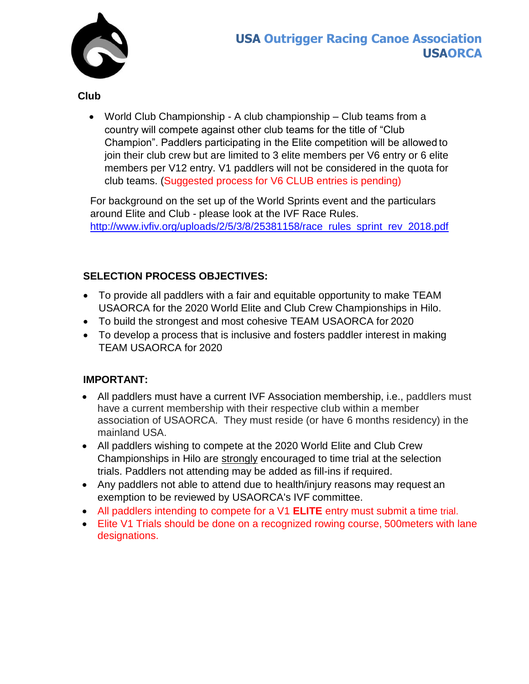

**Club**

 World Club Championship - A club championship – Club teams from a country will compete against other club teams for the title of "Club Champion". Paddlers participating in the Elite competition will be allowed to join their club crew but are limited to 3 elite members per V6 entry or 6 elite members per V12 entry. V1 paddlers will not be considered in the quota for club teams. (Suggested process for V6 CLUB entries is pending)

For background on the set up of the World Sprints event and the particulars around Elite and Club - please look at the IVF Race Rules. [http://www.ivfiv.org/uploads/2/5/3/8/25381158/race\\_rules\\_sprint\\_rev\\_2018.pdf](http://www.ivfiv.org/uploads/2/5/3/8/25381158/race_rules_sprint_rev_2018.pdf)

## **SELECTION PROCESS OBJECTIVES:**

- To provide all paddlers with a fair and equitable opportunity to make TEAM USAORCA for the 2020 World Elite and Club Crew Championships in Hilo.
- To build the strongest and most cohesive TEAM USAORCA for 2020
- To develop a process that is inclusive and fosters paddler interest in making TEAM USAORCA for 2020

## **IMPORTANT:**

- [All paddlers must have a current IVF Association](http://www.ivfiv.org/uploads/2/5/3/8/25381158/race_rules_sprint_rev_2018.pdf) membership, i.e., paddlers must have a current membership with their respective club within a member association of USAORCA. They must reside (or have 6 months residency) in the mainland USA.
- All paddlers wishing to compete at the 2020 World Elite and Club Crew Championships in Hilo are strongly encouraged to time trial at the selection trials. Paddlers not attending may be added as fill-ins if required.
- Any paddlers not able to attend due to health/injury reasons may request an exemption to be reviewed by USAORCA's IVF committee.
- All paddlers intending to compete for a V1 **ELITE** entry must submit a time trial.
- Elite V1 Trials should be done on a recognized rowing course, 500meters with lane designations.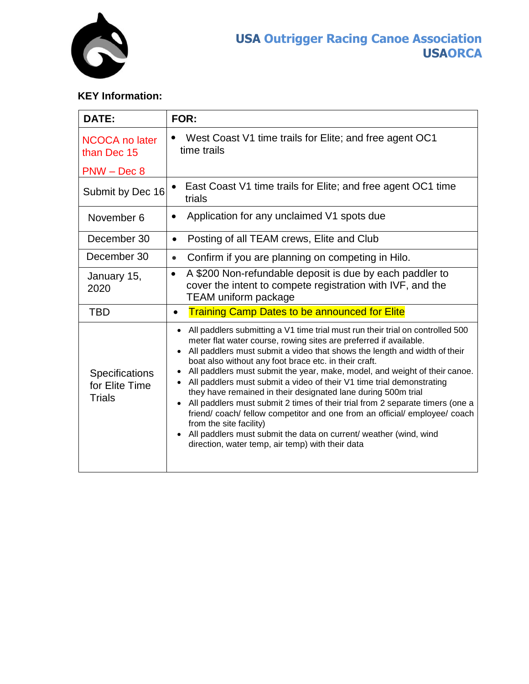

## **KEY Information:**

| DATE:                                             | FOR:                                                                                                                                                                                                                                                                                                                                                                                                                                                                                                                                                                                                                                                                                                                                                                                                                                                                                      |  |  |
|---------------------------------------------------|-------------------------------------------------------------------------------------------------------------------------------------------------------------------------------------------------------------------------------------------------------------------------------------------------------------------------------------------------------------------------------------------------------------------------------------------------------------------------------------------------------------------------------------------------------------------------------------------------------------------------------------------------------------------------------------------------------------------------------------------------------------------------------------------------------------------------------------------------------------------------------------------|--|--|
| <b>NCOCA no later</b><br>than Dec 15              | West Coast V1 time trails for Elite; and free agent OC1<br>time trails                                                                                                                                                                                                                                                                                                                                                                                                                                                                                                                                                                                                                                                                                                                                                                                                                    |  |  |
| $PNW - Dec 8$                                     |                                                                                                                                                                                                                                                                                                                                                                                                                                                                                                                                                                                                                                                                                                                                                                                                                                                                                           |  |  |
| Submit by Dec 16                                  | East Coast V1 time trails for Elite; and free agent OC1 time<br>trials                                                                                                                                                                                                                                                                                                                                                                                                                                                                                                                                                                                                                                                                                                                                                                                                                    |  |  |
| November 6                                        | Application for any unclaimed V1 spots due<br>$\bullet$                                                                                                                                                                                                                                                                                                                                                                                                                                                                                                                                                                                                                                                                                                                                                                                                                                   |  |  |
| December 30                                       | Posting of all TEAM crews, Elite and Club<br>$\bullet$                                                                                                                                                                                                                                                                                                                                                                                                                                                                                                                                                                                                                                                                                                                                                                                                                                    |  |  |
| December 30                                       | Confirm if you are planning on competing in Hilo.<br>$\bullet$                                                                                                                                                                                                                                                                                                                                                                                                                                                                                                                                                                                                                                                                                                                                                                                                                            |  |  |
| January 15,<br>2020                               | A \$200 Non-refundable deposit is due by each paddler to<br>$\bullet$<br>cover the intent to compete registration with IVF, and the<br><b>TEAM uniform package</b>                                                                                                                                                                                                                                                                                                                                                                                                                                                                                                                                                                                                                                                                                                                        |  |  |
| <b>TBD</b>                                        | <b>Training Camp Dates to be announced for Elite</b><br>$\bullet$                                                                                                                                                                                                                                                                                                                                                                                                                                                                                                                                                                                                                                                                                                                                                                                                                         |  |  |
| Specifications<br>for Elite Time<br><b>Trials</b> | All paddlers submitting a V1 time trial must run their trial on controlled 500<br>$\bullet$<br>meter flat water course, rowing sites are preferred if available.<br>• All paddlers must submit a video that shows the length and width of their<br>boat also without any foot brace etc. in their craft.<br>All paddlers must submit the year, make, model, and weight of their canoe.<br>$\bullet$<br>All paddlers must submit a video of their V1 time trial demonstrating<br>they have remained in their designated lane during 500m trial<br>All paddlers must submit 2 times of their trial from 2 separate timers (one a<br>$\bullet$<br>friend/coach/ fellow competitor and one from an official/ employee/ coach<br>from the site facility)<br>All paddlers must submit the data on current/ weather (wind, wind<br>$\bullet$<br>direction, water temp, air temp) with their data |  |  |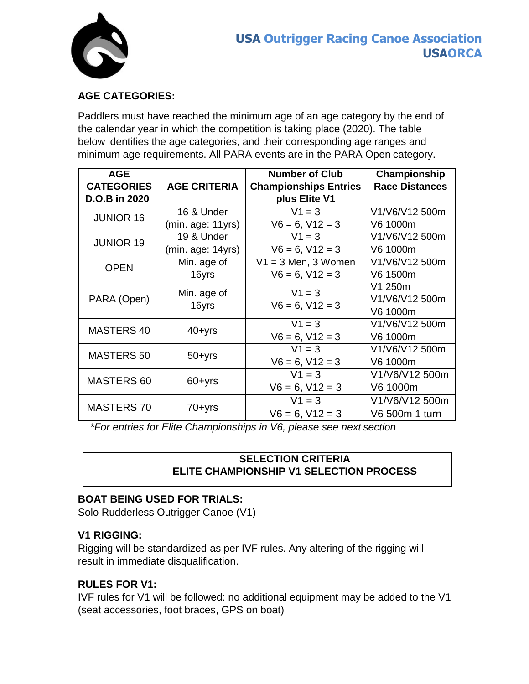

## **AGE CATEGORIES:**

Paddlers must have reached the minimum age of an age category by the end of the calendar year in which the competition is taking place (2020). The table below identifies the age categories, and their corresponding age ranges and minimum age requirements. All PARA events are in the PARA Open category.

| <b>AGE</b>        |                      | <b>Number of Club</b>        | Championship          |
|-------------------|----------------------|------------------------------|-----------------------|
| <b>CATEGORIES</b> | <b>AGE CRITERIA</b>  | <b>Championships Entries</b> | <b>Race Distances</b> |
| D.O.B in 2020     |                      | plus Elite V1                |                       |
| <b>JUNIOR 16</b>  | 16 & Under           | $V1 = 3$                     | V1/V6/V12 500m        |
|                   | (min. age: 11yrs)    | $V6 = 6, V12 = 3$            | V6 1000m              |
| <b>JUNIOR 19</b>  | 19 & Under           | $V1 = 3$                     | V1/V6/V12 500m        |
|                   | (min. age: 14yrs)    | $V6 = 6$ , $V12 = 3$         | V6 1000m              |
| <b>OPEN</b>       | Min. age of          | $V1 = 3$ Men, 3 Women        | V1/V6/V12 500m        |
|                   | 16yrs                | $V6 = 6, V12 = 3$            | V6 1500m              |
| PARA (Open)       | Min. age of<br>16yrs | $V1 = 3$                     | V1 250m               |
|                   |                      | $V6 = 6, V12 = 3$            | V1/V6/V12 500m        |
|                   |                      |                              | V6 1000m              |
| <b>MASTERS 40</b> | $40 + yrs$           | $V1 = 3$                     | V1/V6/V12 500m        |
|                   |                      | $V6 = 6, V12 = 3$            | V6 1000m              |
| <b>MASTERS 50</b> | $50 + yrs$           | $V1 = 3$                     | V1/V6/V12 500m        |
|                   |                      | $V6 = 6, V12 = 3$            | V6 1000m              |
| MASTERS 60        | $60 + yrs$           | $V1 = 3$                     | V1/V6/V12 500m        |
|                   |                      | $V6 = 6, V12 = 3$            | V6 1000m              |
| <b>MASTERS 70</b> | $70 + yrs$           | $V1 = 3$                     | V1/V6/V12 500m        |
|                   |                      | $V6 = 6, V12 = 3$            | V6 500m 1 turn        |

*\*For entries for Elite Championships in V6, please see next section*

#### **SELECTION CRITERIA ELITE CHAMPIONSHIP V1 SELECTION PROCESS**

## **BOAT BEING USED FOR TRIALS:**

Solo Rudderless Outrigger Canoe (V1)

#### **V1 RIGGING:**

Rigging will be standardized as per IVF rules. Any altering of the rigging will result in immediate disqualification.

#### **RULES FOR V1:**

IVF rules for V1 will be followed: no additional equipment may be added to the V1 (seat accessories, foot braces, GPS on boat)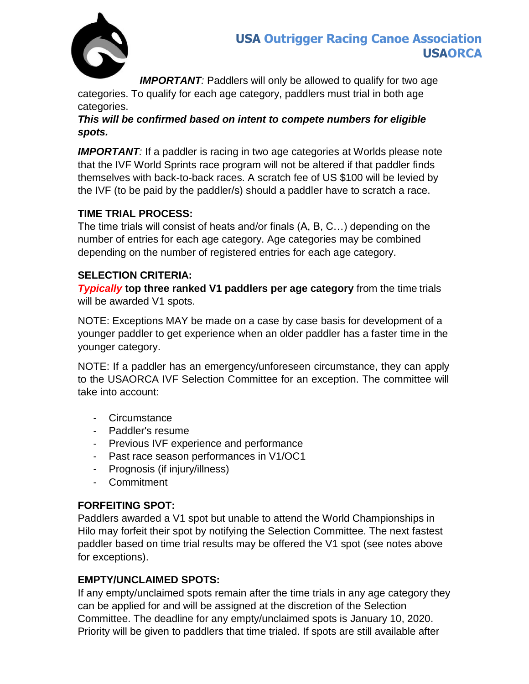

**IMPORTANT**: Paddlers will only be allowed to qualify for two age categories. To qualify for each age category, paddlers must trial in both age categories.

*This will be confirmed based on intent to compete numbers for eligible spots.*

**IMPORTANT**: If a paddler is racing in two age categories at Worlds please note that the IVF World Sprints race program will not be altered if that paddler finds themselves with back-to-back races. A scratch fee of US \$100 will be levied by the IVF (to be paid by the paddler/s) should a paddler have to scratch a race.

### **TIME TRIAL PROCESS:**

The time trials will consist of heats and/or finals (A, B, C…) depending on the number of entries for each age category. Age categories may be combined depending on the number of registered entries for each age category.

#### **SELECTION CRITERIA:**

*Typically* **top three ranked V1 paddlers per age category from the time trials** will be awarded V1 spots.

NOTE: Exceptions MAY be made on a case by case basis for development of a younger paddler to get experience when an older paddler has a faster time in the younger category.

NOTE: If a paddler has an emergency/unforeseen circumstance, they can apply to the USAORCA IVF Selection Committee for an exception. The committee will take into account:

- Circumstance
- Paddler's resume
- Previous IVF experience and performance
- Past race season performances in V1/OC1
- Prognosis (if injury/illness)
- Commitment

## **FORFEITING SPOT:**

Paddlers awarded a V1 spot but unable to attend the World Championships in Hilo may forfeit their spot by notifying the Selection Committee. The next fastest paddler based on time trial results may be offered the V1 spot (see notes above for exceptions).

## **EMPTY/UNCLAIMED SPOTS:**

If any empty/unclaimed spots remain after the time trials in any age category they can be applied for and will be assigned at the discretion of the Selection Committee. The deadline for any empty/unclaimed spots is January 10, 2020. Priority will be given to paddlers that time trialed. If spots are still available after